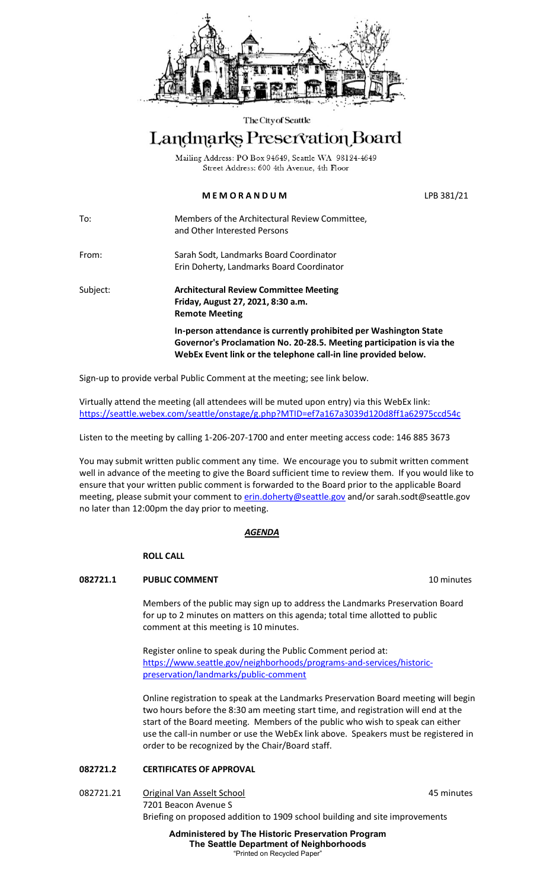

#### The City of Seattle

# Landmarks Preservation Board

Mailing Address: PO Box 94649, Seattle WA 98124-4649 Street Address: 600 4th Avenue, 4th Floor

# **M E M O R A N D U M** LPB 381/21

To: Members of the Architectural Review Committee, and Other Interested Persons

From: Sarah Sodt, Landmarks Board Coordinator Erin Doherty, Landmarks Board Coordinator

Subject: **Architectural Review Committee Meeting Friday, August 27, 2021, 8:30 a.m. Remote Meeting In-person attendance is currently prohibited per Washington State Governor's Proclamation No. 20-28.5. Meeting participation is via the WebEx Event link or the telephone call-in line provided below.**

Sign-up to provide verbal Public Comment at the meeting; see link below.

Virtually attend the meeting (all attendees will be muted upon entry) via this WebEx link: <https://seattle.webex.com/seattle/onstage/g.php?MTID=ef7a167a3039d120d8ff1a62975ccd54c>

Listen to the meeting by calling 1-206-207-1700 and enter meeting access code: 146 885 3673

You may submit written public comment any time. We encourage you to submit written comment well in advance of the meeting to give the Board sufficient time to review them. If you would like to ensure that your written public comment is forwarded to the Board prior to the applicable Board meeting, please submit your comment to **erin.doherty@seattle.gov** and/or [sarah.sodt@seattle.gov](mailto:sarah.sodt@seattle.gov) no later than 12:00pm the day prior to meeting.

## *AGENDA*

## **ROLL CALL**

## **082721.1** PUBLIC COMMENT **10 PUBLIC COMMENT**

Members of the public may sign up to address the Landmarks Preservation Board for up to 2 minutes on matters on this agenda; total time allotted to public comment at this meeting is 10 minutes.

Register online to speak during the Public Comment period at: [https://www.seattle.gov/neighborhoods/programs-and-services/historic](https://www.seattle.gov/neighborhoods/programs-and-services/historic-preservation/landmarks/public-comment)[preservation/landmarks/public-comment](https://www.seattle.gov/neighborhoods/programs-and-services/historic-preservation/landmarks/public-comment)

Online registration to speak at the Landmarks Preservation Board meeting will begin two hours before the 8:30 am meeting start time, and registration will end at the start of the Board meeting. Members of the public who wish to speak can either use the call-in number or use the WebEx link above. Speakers must be registered in order to be recognized by the Chair/Board staff.

# **082721.2 CERTIFICATES OF APPROVAL**

082721.21 Original Van Asselt School **1988** 1999 12:30 13:45 minutes 7201 Beacon Avenue S Briefing on proposed addition to 1909 school building and site improvements

> **Administered by The Historic Preservation Program The Seattle Department of Neighborhoods** "Printed on Recycled Paper"